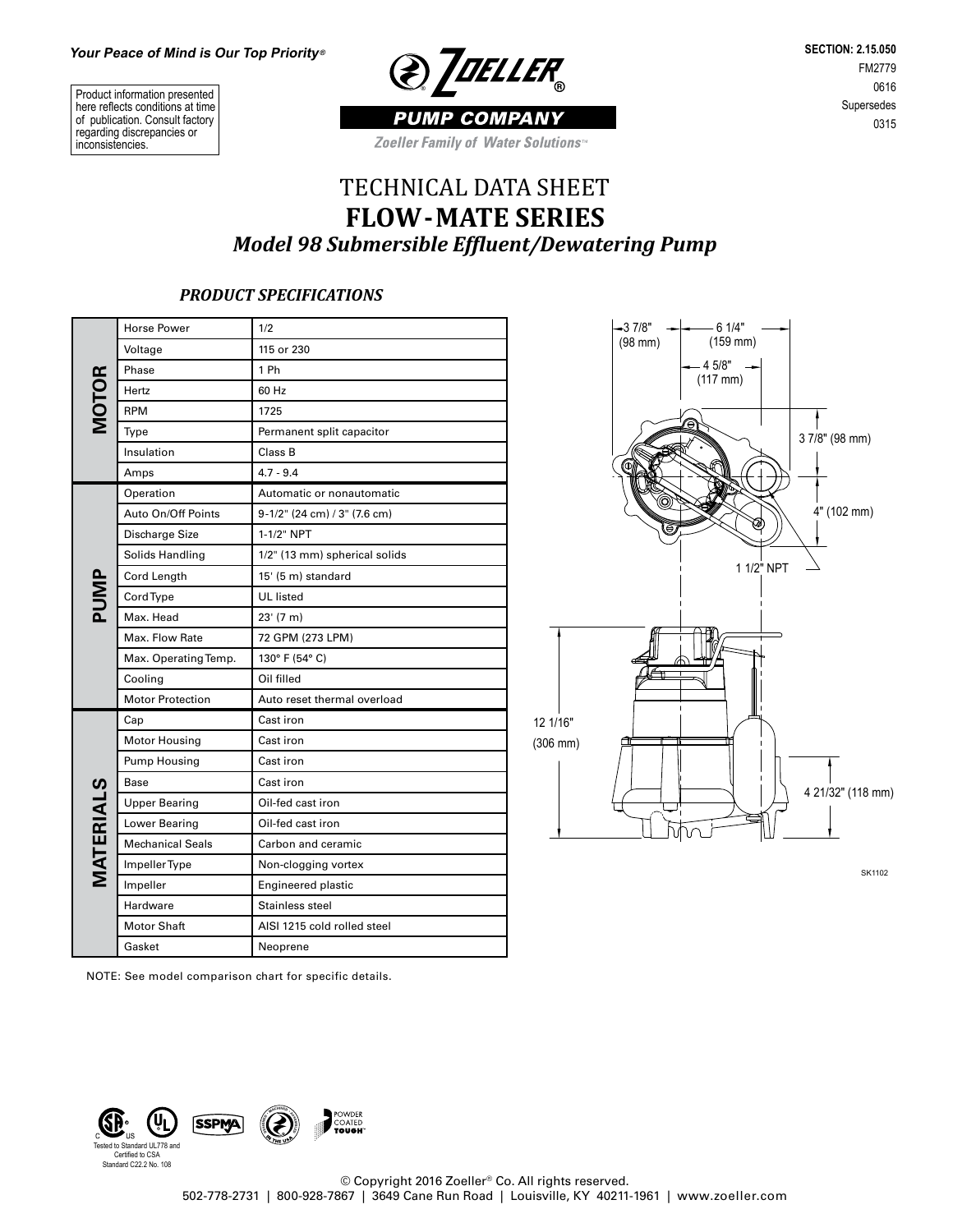Product information presented here reflects conditions at time of publication. Consult factory regarding discrepancies or inconsistencies.



**SECTION: 2.15.050** FM2779 0616 Supersedes 0315

Zoeller Family of Water Solutions<sup>®</sup>

## TECHNICAL DATA SHEET **FLOW-MATE SERIES** *Model 98 Submersible Effluent/Dewatering Pump*

## *PRODUCT SPECIFICATIONS*

| <b>MOTOR</b> | <b>Horse Power</b>      | 1/2                           |  |  |  |  |
|--------------|-------------------------|-------------------------------|--|--|--|--|
|              | Voltage                 | 115 or 230                    |  |  |  |  |
|              | Phase                   | 1 Ph                          |  |  |  |  |
|              | Hertz                   | 60 Hz                         |  |  |  |  |
|              | <b>RPM</b>              | 1725                          |  |  |  |  |
|              | Type                    | Permanent split capacitor     |  |  |  |  |
|              | Insulation              | Class B                       |  |  |  |  |
|              | Amps                    | $4.7 - 9.4$                   |  |  |  |  |
| PUMP         | Operation               | Automatic or nonautomatic     |  |  |  |  |
|              | Auto On/Off Points      | 9-1/2" (24 cm) / 3" (7.6 cm)  |  |  |  |  |
|              | Discharge Size          | 1-1/2" NPT                    |  |  |  |  |
|              | Solids Handling         | 1/2" (13 mm) spherical solids |  |  |  |  |
|              | Cord Length             | 15' (5 m) standard            |  |  |  |  |
|              | CordType                | <b>UL</b> listed              |  |  |  |  |
|              | Max. Head               | 23' (7 m)                     |  |  |  |  |
|              | Max. Flow Rate          | 72 GPM (273 LPM)              |  |  |  |  |
|              | Max. Operating Temp.    | 130° F (54° C)                |  |  |  |  |
|              | Cooling                 | Oil filled                    |  |  |  |  |
|              | <b>Motor Protection</b> | Auto reset thermal overload   |  |  |  |  |
|              | Cap                     | Cast iron                     |  |  |  |  |
|              | <b>Motor Housing</b>    | Cast iron                     |  |  |  |  |
|              | Pump Housing            | Cast iron                     |  |  |  |  |
|              | Base                    | Cast iron                     |  |  |  |  |
|              | <b>Upper Bearing</b>    | Oil-fed cast iron             |  |  |  |  |
|              | Lower Bearing           | Oil-fed cast iron             |  |  |  |  |
|              | <b>Mechanical Seals</b> | Carbon and ceramic            |  |  |  |  |
| MATERIALS    | Impeller Type           | Non-clogging vortex           |  |  |  |  |
|              | Impeller                | <b>Engineered plastic</b>     |  |  |  |  |
|              | Hardware                | Stainless steel               |  |  |  |  |
|              | <b>Motor Shaft</b>      | AISI 1215 cold rolled steel   |  |  |  |  |
|              | Gasket                  | Neoprene                      |  |  |  |  |



SK1102

NOTE: See model comparison chart for specific details.